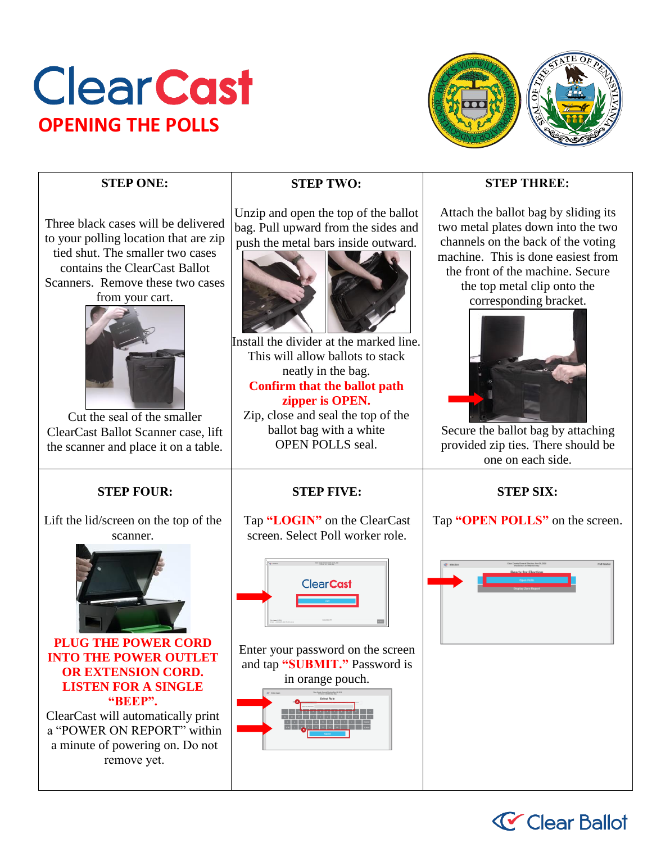# **Clear Cast OPENING THE POLLS**



# **STEP ONE:**

Three black cases will be delivered to your polling location that are zip tied shut. The smaller two cases contains the ClearCast Ballot Scanners. Remove these two cases from your cart.



Cut the seal of the smaller ClearCast Ballot Scanner case, lift the scanner and place it on a table.

# **STEP FOUR:**

Lift the lid/screen on the top of the scanner.



**PLUG THE POWER CORD INTO THE POWER OUTLET OR EXTENSION CORD. LISTEN FOR A SINGLE "BEEP".**

ClearCast will automatically print a "POWER ON REPORT" within a minute of powering on. Do not remove yet.

# **STEP TWO:**

Unzip and open the top of the ballot bag. Pull upward from the sides and push the metal bars inside outward.



Install the divider at the marked line. This will allow ballots to stack neatly in the bag. **Confirm that the ballot path zipper is OPEN.**

Zip, close and seal the top of the ballot bag with a white OPEN POLLS seal.

# **STEP FIVE:**

Tap **"LOGIN"** on the ClearCast screen. Select Poll worker role.



Enter your password on the screen and tap **"SUBMIT."** Password is in orange pouch.



## **STEP THREE:**

Attach the ballot bag by sliding its two metal plates down into the two channels on the back of the voting machine. This is done easiest from the front of the machine. Secure the top metal clip onto the corresponding bracket.



Secure the ballot bag by attaching provided zip ties. There should be one on each side.

# **STEP SIX:**

Tap **"OPEN POLLS"** on the screen.